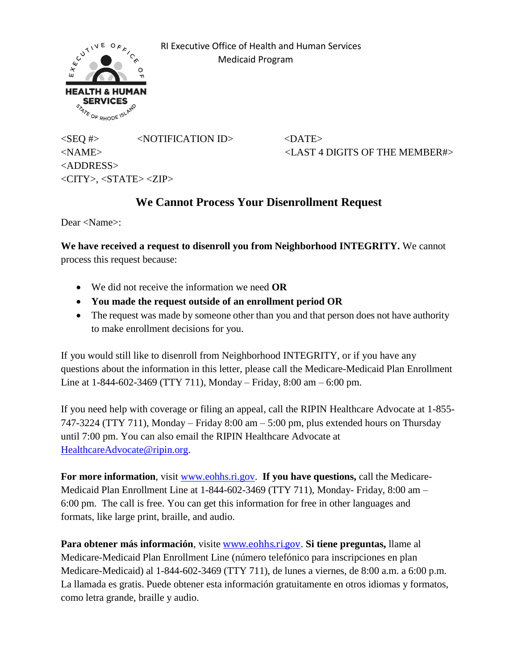

 RI Executive Office of Health and Human Services Medicaid Program

 $\langle$ SEQ #>  $\langle$ NOTIFICATION ID>  $\langle$ DATE> <ADDRESS>  $\langle CITY \rangle$ ,  $\langle STATE \rangle \langle ZIP \rangle$ 

<NAME> <LAST 4 DIGITS OF THE MEMBER#>

## **We Cannot Process Your Disenrollment Request**

Dear <Name>:

**We have received a request to disenroll you from Neighborhood INTEGRITY.** We cannot process this request because:

- We did not receive the information we need **OR**
- **You made the request outside of an enrollment period OR**
- The request was made by someone other than you and that person does not have authority to make enrollment decisions for you.

If you would still like to disenroll from Neighborhood INTEGRITY, or if you have any questions about the information in this letter, please call the Medicare-Medicaid Plan Enrollment Line at 1-844-602-3469 (TTY 711), Monday – Friday, 8:00 am – 6:00 pm.

If you need help with coverage or filing an appeal, call the RIPIN Healthcare Advocate at 1-855- 747-3224 (TTY 711), Monday – Friday 8:00 am – 5:00 pm, plus extended hours on Thursday until 7:00 pm. You can also email the RIPIN Healthcare Advocate at [HealthcareAdvocate@ripin.org.](mailto:HealthcareAdvocate@ripin.org)

**For more information**, visit [www.eohhs.ri.gov.](http://www.eohhs.ri.gov/) **If you have questions,** call the Medicare-Medicaid Plan Enrollment Line at 1-844-602-3469 (TTY 711), Monday- Friday, 8:00 am – 6:00 pm. The call is free. You can get this information for free in other languages and formats, like large print, braille, and audio.

**Para obtener más información**, visite [www.eohhs.ri.gov](http://www.eohhs.ri.gov/). **Si tiene preguntas,** llame al Medicare-Medicaid Plan Enrollment Line (número telefónico para inscripciones en plan Medicare-Medicaid) al 1-844-602-3469 (TTY 711), de lunes a viernes, de 8:00 a.m. a 6:00 p.m. La llamada es gratis. Puede obtener esta información gratuitamente en otros idiomas y formatos, como letra grande, braille y audio.